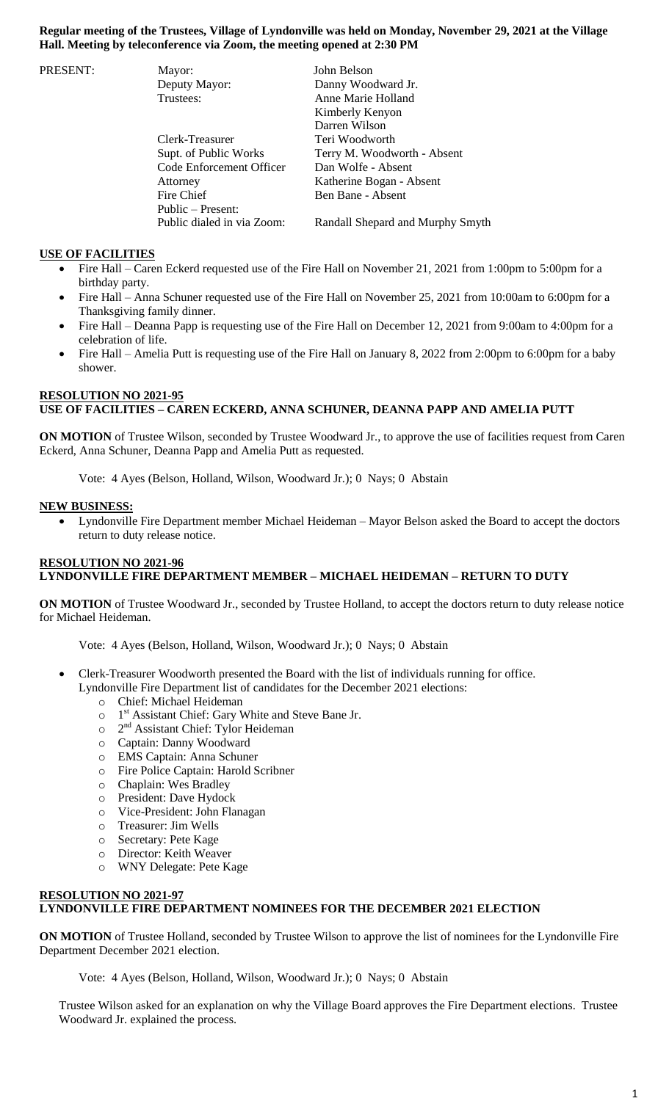# **Regular meeting of the Trustees, Village of Lyndonville was held on Monday, November 29, 2021 at the Village Hall. Meeting by teleconference via Zoom, the meeting opened at 2:30 PM**

| PRESENT: | Mayor:                     | John Belson                      |
|----------|----------------------------|----------------------------------|
|          | Deputy Mayor:              | Danny Woodward Jr.               |
|          | Trustees:                  | Anne Marie Holland               |
|          |                            | Kimberly Kenyon                  |
|          |                            | Darren Wilson                    |
|          | Clerk-Treasurer            | Teri Woodworth                   |
|          | Supt. of Public Works      | Terry M. Woodworth - Absent      |
|          | Code Enforcement Officer   | Dan Wolfe - Absent               |
|          | Attorney                   | Katherine Bogan - Absent         |
|          | Fire Chief                 | Ben Bane - Absent                |
|          | Public – Present:          |                                  |
|          | Public dialed in via Zoom: | Randall Shepard and Murphy Smyth |

# **USE OF FACILITIES**

- Fire Hall Caren Eckerd requested use of the Fire Hall on November 21, 2021 from 1:00pm to 5:00pm for a birthday party.
- Fire Hall Anna Schuner requested use of the Fire Hall on November 25, 2021 from 10:00am to 6:00pm for a Thanksgiving family dinner.
- Fire Hall Deanna Papp is requesting use of the Fire Hall on December 12, 2021 from 9:00am to 4:00pm for a celebration of life.
- Fire Hall Amelia Putt is requesting use of the Fire Hall on January 8, 2022 from 2:00pm to 6:00pm for a baby shower.

# **RESOLUTION NO 2021-95 USE OF FACILITIES – CAREN ECKERD, ANNA SCHUNER, DEANNA PAPP AND AMELIA PUTT**

**ON MOTION** of Trustee Wilson, seconded by Trustee Woodward Jr., to approve the use of facilities request from Caren Eckerd, Anna Schuner, Deanna Papp and Amelia Putt as requested.

Vote: 4 Ayes (Belson, Holland, Wilson, Woodward Jr.); 0 Nays; 0 Abstain

#### **NEW BUSINESS:**

 Lyndonville Fire Department member Michael Heideman – Mayor Belson asked the Board to accept the doctors return to duty release notice.

## **RESOLUTION NO 2021-96 LYNDONVILLE FIRE DEPARTMENT MEMBER – MICHAEL HEIDEMAN – RETURN TO DUTY**

**ON MOTION** of Trustee Woodward Jr., seconded by Trustee Holland, to accept the doctors return to duty release notice for Michael Heideman.

Vote: 4 Ayes (Belson, Holland, Wilson, Woodward Jr.); 0 Nays; 0 Abstain

- Clerk-Treasurer Woodworth presented the Board with the list of individuals running for office.
	- Lyndonville Fire Department list of candidates for the December 2021 elections:
		- o Chief: Michael Heideman
		- o 1<sup>st</sup> Assistant Chief: Gary White and Steve Bane Jr.
		- o 2<sup>nd</sup> Assistant Chief: Tylor Heideman
		- o Captain: Danny Woodward
		- o EMS Captain: Anna Schuner
		- o Fire Police Captain: Harold Scribner
		- o Chaplain: Wes Bradley
		- o President: Dave Hydock
		- o Vice-President: John Flanagan
		- o Treasurer: Jim Wells
		- o Secretary: Pete Kage
		- o Director: Keith Weaver
		- o WNY Delegate: Pete Kage

## **RESOLUTION NO 2021-97 LYNDONVILLE FIRE DEPARTMENT NOMINEES FOR THE DECEMBER 2021 ELECTION**

**ON MOTION** of Trustee Holland, seconded by Trustee Wilson to approve the list of nominees for the Lyndonville Fire Department December 2021 election.

Vote: 4 Ayes (Belson, Holland, Wilson, Woodward Jr.); 0 Nays; 0 Abstain

Trustee Wilson asked for an explanation on why the Village Board approves the Fire Department elections. Trustee Woodward Jr. explained the process.